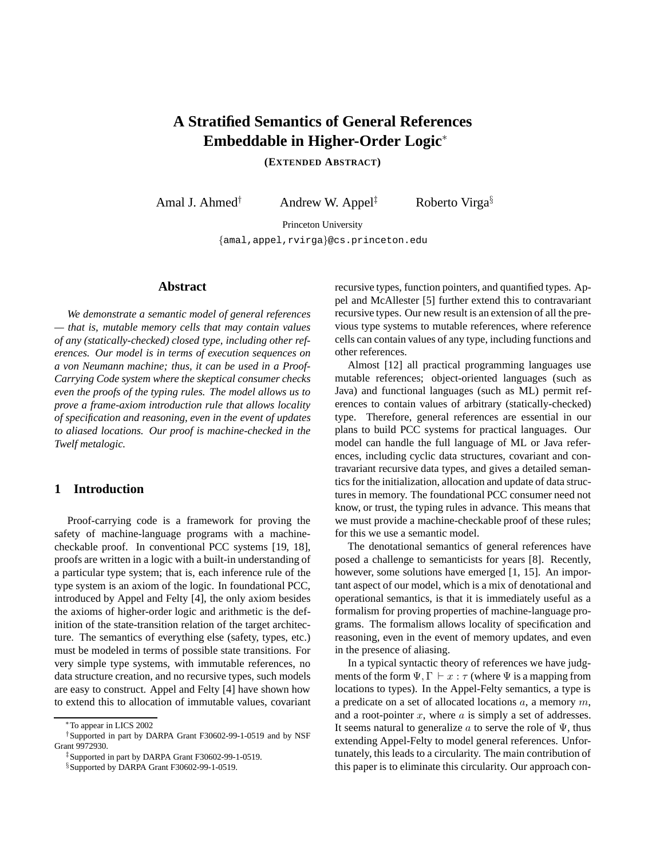# **A Stratified Semantics of General References Embeddable in Higher-Order Logic**<sup>∗</sup>

**(EXTENDED ABSTRACT)**

Amal J. Ahmed<sup>†</sup> Andrew W. Appel<sup>‡</sup> Roberto Virga<sup>§</sup>

Princeton University

{amal,appel,rvirga}@cs.princeton.edu

# **Abstract**

*We demonstrate a semantic model of general references — that is, mutable memory cells that may contain values of any (statically-checked) closed type, including other references. Our model is in terms of execution sequences on a von Neumann machine; thus, it can be used in a Proof-Carrying Code system where the skeptical consumer checks even the proofs of the typing rules. The model allows us to prove a frame-axiom introduction rule that allows locality of specification and reasoning, even in the event of updates to aliased locations. Our proof is machine-checked in the Twelf metalogic.*

# **1 Introduction**

Proof-carrying code is a framework for proving the safety of machine-language programs with a machinecheckable proof. In conventional PCC systems [19, 18], proofs are written in a logic with a built-in understanding of a particular type system; that is, each inference rule of the type system is an axiom of the logic. In foundational PCC, introduced by Appel and Felty [4], the only axiom besides the axioms of higher-order logic and arithmetic is the definition of the state-transition relation of the target architecture. The semantics of everything else (safety, types, etc.) must be modeled in terms of possible state transitions. For very simple type systems, with immutable references, no data structure creation, and no recursive types, such models are easy to construct. Appel and Felty [4] have shown how to extend this to allocation of immutable values, covariant

‡Supported in part by DARPA Grant F30602-99-1-0519.

§Supported by DARPA Grant F30602-99-1-0519.

recursive types, function pointers, and quantified types. Appel and McAllester [5] further extend this to contravariant recursive types. Our new result is an extension of all the previous type systems to mutable references, where reference cells can contain values of any type, including functions and other references.

Almost [12] all practical programming languages use mutable references; object-oriented languages (such as Java) and functional languages (such as ML) permit references to contain values of arbitrary (statically-checked) type. Therefore, general references are essential in our plans to build PCC systems for practical languages. Our model can handle the full language of ML or Java references, including cyclic data structures, covariant and contravariant recursive data types, and gives a detailed semantics for the initialization, allocation and update of data structures in memory. The foundational PCC consumer need not know, or trust, the typing rules in advance. This means that we must provide a machine-checkable proof of these rules; for this we use a semantic model.

The denotational semantics of general references have posed a challenge to semanticists for years [8]. Recently, however, some solutions have emerged [1, 15]. An important aspect of our model, which is a mix of denotational and operational semantics, is that it is immediately useful as a formalism for proving properties of machine-language programs. The formalism allows locality of specification and reasoning, even in the event of memory updates, and even in the presence of aliasing.

In a typical syntactic theory of references we have judgments of the form  $\Psi$ ,  $\Gamma \vdash x : \tau$  (where  $\Psi$  is a mapping from locations to types). In the Appel-Felty semantics, a type is a predicate on a set of allocated locations  $a$ , a memory  $m$ , and a root-pointer  $x$ , where  $a$  is simply a set of addresses. It seems natural to generalize a to serve the role of  $\Psi$ , thus extending Appel-Felty to model general references. Unfortunately, this leads to a circularity. The main contribution of this paper is to eliminate this circularity. Our approach con-

<sup>∗</sup>To appear in LICS 2002

<sup>†</sup>Supported in part by DARPA Grant F30602-99-1-0519 and by NSF Grant 9972930.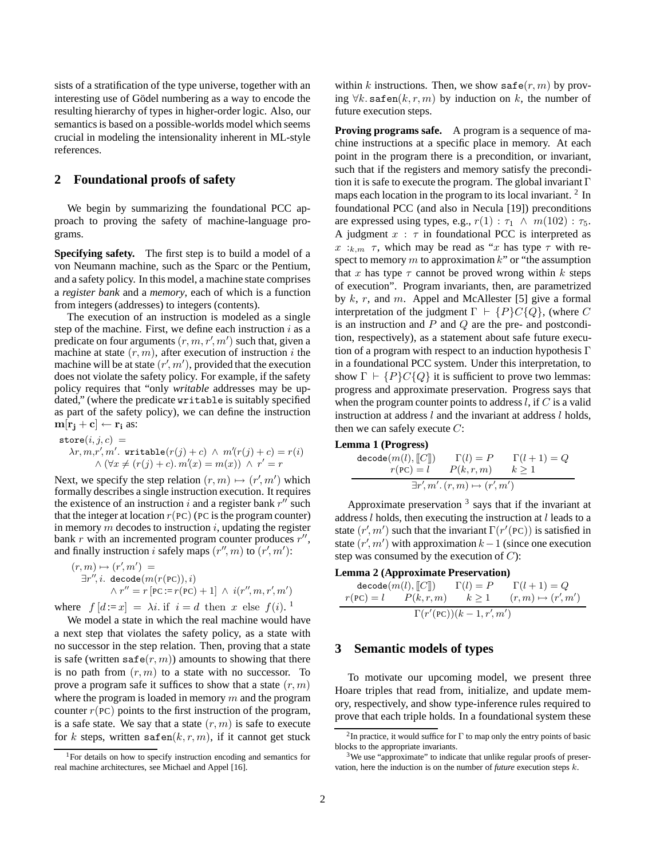sists of a stratification of the type universe, together with an interesting use of Gödel numbering as a way to encode the resulting hierarchy of types in higher-order logic. Also, our semantics is based on a possible-worlds model which seems crucial in modeling the intensionality inherent in ML-style references.

# **2 Foundational proofs of safety**

We begin by summarizing the foundational PCC approach to proving the safety of machine-language programs.

**Specifying safety.** The first step is to build a model of a von Neumann machine, such as the Sparc or the Pentium, and a safety policy. In this model, a machine state comprises a *register bank* and a *memory*, each of which is a function from integers (addresses) to integers (contents).

The execution of an instruction is modeled as a single step of the machine. First, we define each instruction  $i$  as a predicate on four arguments  $(r, m, r', m')$  such that, given a machine at state  $(r, m)$ , after execution of instruction i the machine will be at state  $(r', m')$ , provided that the execution does not violate the safety policy. For example, if the safety policy requires that "only *writable* addresses may be updated," (where the predicate writable is suitably specified as part of the safety policy), we can define the instruction  $\mathbf{m}[\mathbf{r_i} + \mathbf{c}] \leftarrow \mathbf{r_i}$  as:

$$
store(i, j, c) =
$$
  
\n
$$
\lambda r, m, r', m'.
$$
  $writeable(r(j) + c) \wedge m'(r(j) + c) = r(i)$   
\n
$$
\wedge (\forall x \neq (r(j) + c). m'(x) = m(x)) \wedge r' = r
$$

Next, we specify the step relation  $(r, m) \mapsto (r', m')$  which formally describes a single instruction execution. It requires the existence of an instruction i and a register bank  $r^{\prime\prime}$  such that the integer at location  $r(PC)$  (PC is the program counter) in memory  $m$  decodes to instruction  $i$ , updating the register bank r with an incremented program counter produces  $r^{\prime\prime}$ , and finally instruction *i* safely maps  $(r'', m)$  to  $(r', m')$ :

$$
(r, m) \mapsto (r', m') =
$$
  
\n
$$
\exists r'', i. \text{ decode}(m(r(\text{PC})), i)
$$
  
\n
$$
\land r'' = r [\text{PC} := r(\text{PC}) + 1] \land i(r'', m, r', m')
$$

where  $f[d := x] = \lambda i$  if  $i = d$  then x else  $f(i)$ . <sup>1</sup>

We model a state in which the real machine would have a next step that violates the safety policy, as a state with no successor in the step relation. Then, proving that a state is safe (written safe $(r, m)$ ) amounts to showing that there is no path from  $(r, m)$  to a state with no successor. To prove a program safe it suffices to show that a state  $(r, m)$ where the program is loaded in memory  $m$  and the program counter  $r(PC)$  points to the first instruction of the program, is a safe state. We say that a state  $(r, m)$  is safe to execute for k steps, written safen $(k, r, m)$ , if it cannot get stuck

within k instructions. Then, we show  $\text{safe}(r, m)$  by proving  $\forall k$ . safen $(k, r, m)$  by induction on k, the number of future execution steps.

**Proving programs safe.** A program is a sequence of machine instructions at a specific place in memory. At each point in the program there is a precondition, or invariant, such that if the registers and memory satisfy the precondition it is safe to execute the program. The global invariant  $\Gamma$ maps each location in the program to its local invariant. <sup>2</sup> In foundational PCC (and also in Necula [19]) preconditions are expressed using types, e.g.,  $r(1) : \tau_1 \wedge m(102) : \tau_5$ . A judgment  $x : \tau$  in foundational PCC is interpreted as  $x :_{k,m} \tau$ , which may be read as "x has type  $\tau$  with respect to memory  $m$  to approximation  $k$ " or "the assumption that x has type  $\tau$  cannot be proved wrong within k steps of execution". Program invariants, then, are parametrized by  $k$ ,  $r$ , and  $m$ . Appel and McAllester [5] give a formal interpretation of the judgment  $\Gamma \vdash \{P\} C \{Q\}$ , (where C is an instruction and  $P$  and  $Q$  are the pre- and postcondition, respectively), as a statement about safe future execution of a program with respect to an induction hypothesis Γ in a foundational PCC system. Under this interpretation, to show  $\Gamma \vdash \{P\} C \{Q\}$  it is sufficient to prove two lemmas: progress and approximate preservation. Progress says that when the program counter points to address  $l$ , if  $C$  is a valid instruction at address  $l$  and the invariant at address  $l$  holds, then we can safely execute  $C$ :

**Lemma 1 (Progress)**

$$
\frac{\text{decode}(m(l), \llbracket C \rrbracket)}{r(\text{PC}) = l} \quad \frac{\Gamma(l) = P}{P(k, r, m)} \quad \frac{\Gamma(l+1) = Q}{k \ge 1}
$$
\n
$$
\frac{\exists r', m'. (r, m) \mapsto (r', m')}{r(\text{C})}
$$

Approximate preservation  $3$  says that if the invariant at address  $l$  holds, then executing the instruction at  $l$  leads to a state  $(r', m')$  such that the invariant  $\Gamma(r'(\text{PC}))$  is satisfied in state  $(r', m')$  with approximation  $k-1$  (since one execution step was consumed by the execution of  $C$ :

**Lemma 2 (Approximate Preservation)**

$$
\operatorname{decode}(m(l), \llbracket C \rrbracket) \qquad \Gamma(l) = P \qquad \Gamma(l+1) = Q
$$
\n
$$
r(\text{PC}) = l \qquad P(k, r, m) \qquad k \ge 1 \qquad (r, m) \mapsto (r', m')
$$
\n
$$
\Gamma(r'(\text{PC}))(k-1, r', m')
$$

# **3 Semantic models of types**

To motivate our upcoming model, we present three Hoare triples that read from, initialize, and update memory, respectively, and show type-inference rules required to prove that each triple holds. In a foundational system these

<sup>1</sup>For details on how to specify instruction encoding and semantics for real machine architectures, see Michael and Appel [16].

<sup>&</sup>lt;sup>2</sup>In practice, it would suffice for  $\Gamma$  to map only the entry points of basic blocks to the appropriate invariants.

<sup>&</sup>lt;sup>3</sup>We use "approximate" to indicate that unlike regular proofs of preservation, here the induction is on the number of *future* execution steps k.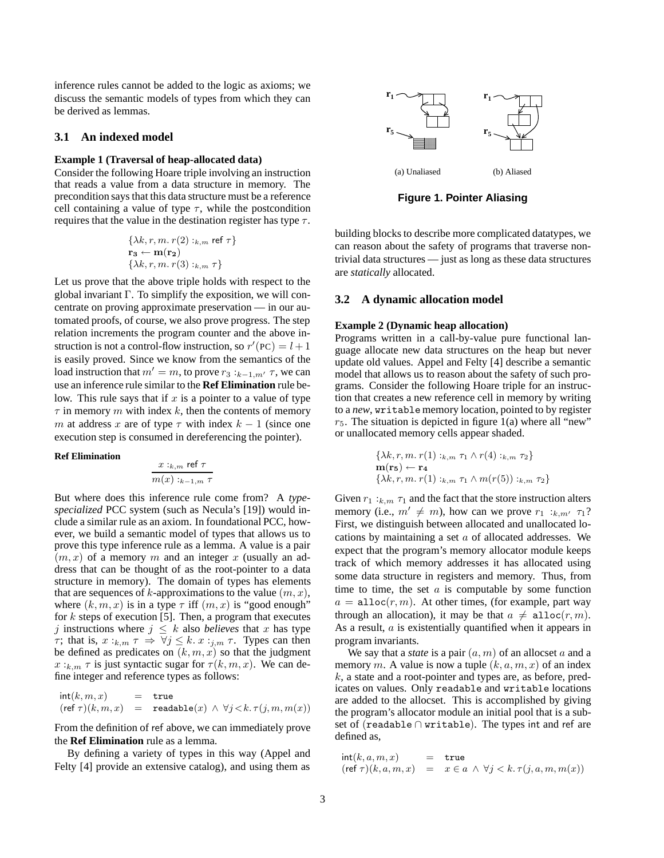inference rules cannot be added to the logic as axioms; we discuss the semantic models of types from which they can be derived as lemmas.

## **3.1 An indexed model**

### **Example 1 (Traversal of heap-allocated data)**

Consider the following Hoare triple involving an instruction that reads a value from a data structure in memory. The precondition says that this data structure must be a reference cell containing a value of type  $\tau$ , while the postcondition requires that the value in the destination register has type  $\tau$ .

$$
\{\lambda k, r, m. r(2) :_{k,m} \text{ ref } \tau\}
$$

$$
\mathbf{r_3} \leftarrow \mathbf{m}(\mathbf{r_2})
$$

$$
\{\lambda k, r, m. r(3) :_{k,m} \tau\}
$$

Let us prove that the above triple holds with respect to the global invariant Γ. To simplify the exposition, we will concentrate on proving approximate preservation — in our automated proofs, of course, we also prove progress. The step relation increments the program counter and the above instruction is not a control-flow instruction, so  $r'(PC) = l + 1$ is easily proved. Since we know from the semantics of the load instruction that  $m' = m$ , to prove  $r_3 :_{k=1,m'} \tau$ , we can use an inference rule similar to the **Ref Elimination** rule below. This rule says that if  $x$  is a pointer to a value of type  $\tau$  in memory m with index k, then the contents of memory m at address x are of type  $\tau$  with index  $k - 1$  (since one execution step is consumed in dereferencing the pointer).

#### **Ref Elimination**

$$
\frac{x:_{k,m} \text{ret } \tau}{m(x):_{k-1,m} \tau}
$$

But where does this inference rule come from? A *typespecialized* PCC system (such as Necula's [19]) would include a similar rule as an axiom. In foundational PCC, however, we build a semantic model of types that allows us to prove this type inference rule as a lemma. A value is a pair  $(m, x)$  of a memory m and an integer x (usually an address that can be thought of as the root-pointer to a data structure in memory). The domain of types has elements that are sequences of k-approximations to the value  $(m, x)$ , where  $(k, m, x)$  is in a type  $\tau$  iff  $(m, x)$  is "good enough" for  $k$  steps of execution [5]. Then, a program that executes j instructions where  $j \leq k$  also *believes* that x has type *τ*; that is,  $x:_{k,m} \tau \Rightarrow \forall j \leq k$ .  $x:_{j,m} \tau$ . Types can then be defined as predicates on  $(k, m, x)$  so that the judgment  $x:_{k,m} \tau$  is just syntactic sugar for  $\tau(k,m,x)$ . We can define integer and reference types as follows:

$$
\begin{array}{lcl} \mathsf{int}(k,m,x) & = & \mathsf{true} \\ (\mathsf{ref}~\tau)(k,m,x) & = & \mathsf{readable}(x) \, \wedge \, \forall j \! < \! k. \, \tau(j,m,m(x)) \end{array}
$$

From the definition of ref above, we can immediately prove the **Ref Elimination** rule as a lemma.

By defining a variety of types in this way (Appel and Felty [4] provide an extensive catalog), and using them as



**Figure 1. Pointer Aliasing**

building blocks to describe more complicated datatypes, we can reason about the safety of programs that traverse nontrivial data structures — just as long as these data structures are *statically* allocated.

#### **3.2 A dynamic allocation model**

#### **Example 2 (Dynamic heap allocation)**

Programs written in a call-by-value pure functional language allocate new data structures on the heap but never update old values. Appel and Felty [4] describe a semantic model that allows us to reason about the safety of such programs. Consider the following Hoare triple for an instruction that creates a new reference cell in memory by writing to a *new*, writable memory location, pointed to by register  $r_5$ . The situation is depicted in figure 1(a) where all "new" or unallocated memory cells appear shaded.

$$
\{\lambda k, r, m. r(1) :_{k,m} \tau_1 \wedge r(4) :_{k,m} \tau_2\}
$$
  
\n
$$
\mathbf{m}(\mathbf{r}_5) \leftarrow \mathbf{r}_4
$$
  
\n
$$
\{\lambda k, r, m. r(1) :_{k,m} \tau_1 \wedge m(r(5)) :_{k,m} \tau_2\}
$$

Given  $r_1 :_{k,m} \tau_1$  and the fact that the store instruction alters memory (i.e.,  $m' \neq m$ ), how can we prove  $r_1 :_{k,m'} \tau_1$ ? First, we distinguish between allocated and unallocated locations by maintaining a set a of allocated addresses. We expect that the program's memory allocator module keeps track of which memory addresses it has allocated using some data structure in registers and memory. Thus, from time to time, the set  $a$  is computable by some function  $a = \text{alloc}(r, m)$ . At other times, (for example, part way through an allocation), it may be that  $a \neq \text{alloc}(r, m)$ . As a result, a is existentially quantified when it appears in program invariants.

We say that a *state* is a pair  $(a, m)$  of an allocset a and a memory m. A value is now a tuple  $(k, a, m, x)$  of an index  $k$ , a state and a root-pointer and types are, as before, predicates on values. Only readable and writable locations are added to the allocset. This is accomplished by giving the program's allocator module an initial pool that is a subset of (readable ∩ writable). The types int and ref are defined as,

$$
int(k, a, m, x) = true
$$
  
(ref  $\tau$ )(k, a, m, x) =  $x \in a \land \forall j < k. \tau(j, a, m, m(x))$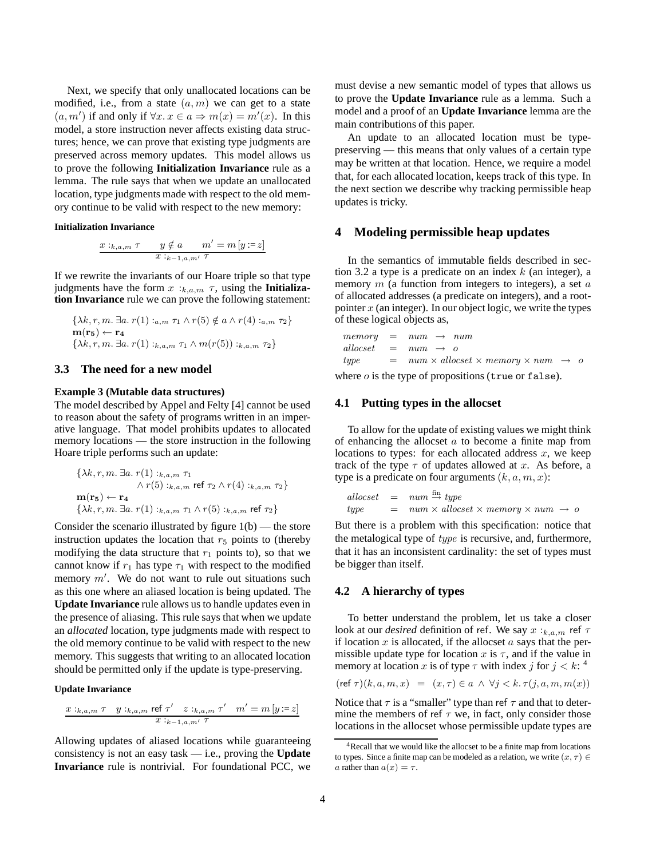Next, we specify that only unallocated locations can be modified, i.e., from a state  $(a, m)$  we can get to a state  $(a, m')$  if and only if  $\forall x \in \mathfrak{a} \Rightarrow m(x) = m'(x)$ . In this model, a store instruction never affects existing data structures; hence, we can prove that existing type judgments are preserved across memory updates. This model allows us to prove the following **Initialization Invariance** rule as a lemma. The rule says that when we update an unallocated location, type judgments made with respect to the old memory continue to be valid with respect to the new memory:

**Initialization Invariance**

$$
\frac{x :_{k,a,m} \tau \qquad y \notin a \qquad m' = m[y := z]}{x :_{k-1,a,m'} \tau}
$$

If we rewrite the invariants of our Hoare triple so that type judgments have the form  $x :_{k,a,m} \tau$ , using the **Initialization Invariance** rule we can prove the following statement:

$$
\{\lambda k, r, m. \exists a. r(1) :_{a,m} \tau_1 \wedge r(5) \notin a \wedge r(4) :_{a,m} \tau_2\}
$$

$$
\mathbf{m}(\mathbf{r}_5) \leftarrow \mathbf{r}_4
$$

$$
\{\lambda k, r, m. \exists a. r(1) :_{k,a,m} \tau_1 \wedge m(r(5)) :_{k,a,m} \tau_2\}
$$

### **3.3 The need for a new model**

### **Example 3 (Mutable data structures)**

The model described by Appel and Felty [4] cannot be used to reason about the safety of programs written in an imperative language. That model prohibits updates to allocated memory locations — the store instruction in the following Hoare triple performs such an update:

$$
\{\lambda k, r, m. \exists a. r(1) :_{k,a,m} \tau_1
$$
  

$$
\wedge r(5) :_{k,a,m} \text{ref } \tau_2 \wedge r(4) :_{k,a,m} \tau_2\}
$$
  

$$
\mathbf{m}(\mathbf{r}_5) \leftarrow \mathbf{r}_4
$$
  

$$
\{\lambda k, r, m. \exists a. r(1) :_{k,a,m} \tau_1 \wedge r(5) :_{k,a,m} \text{ref } \tau_2\}
$$

Consider the scenario illustrated by figure  $1(b)$  — the store instruction updates the location that  $r<sub>5</sub>$  points to (thereby modifying the data structure that  $r_1$  points to), so that we cannot know if  $r_1$  has type  $\tau_1$  with respect to the modified memory  $m'$ . We do not want to rule out situations such as this one where an aliased location is being updated. The **Update Invariance** rule allows us to handle updates even in the presence of aliasing. This rule says that when we update an *allocated* location, type judgments made with respect to the old memory continue to be valid with respect to the new memory. This suggests that writing to an allocated location should be permitted only if the update is type-preserving.

#### **Update Invariance**

$$
\frac{x:_{k,a,m} \tau \quad y:_{k,a,m} \text{ref } \tau' \quad z:_{k,a,m} \tau' \quad m' = m[y:=z]}{x:_{k-1,a,m'} \tau}
$$

Allowing updates of aliased locations while guaranteeing consistency is not an easy task — i.e., proving the **Update Invariance** rule is nontrivial. For foundational PCC, we

must devise a new semantic model of types that allows us to prove the **Update Invariance** rule as a lemma. Such a model and a proof of an **Update Invariance** lemma are the main contributions of this paper.

An update to an allocated location must be typepreserving — this means that only values of a certain type may be written at that location. Hence, we require a model that, for each allocated location, keeps track of this type. In the next section we describe why tracking permissible heap updates is tricky.

# **4 Modeling permissible heap updates**

In the semantics of immutable fields described in section 3.2 a type is a predicate on an index  $k$  (an integer), a memory  $m$  (a function from integers to integers), a set  $a$ of allocated addresses (a predicate on integers), and a rootpointer  $x$  (an integer). In our object logic, we write the types of these logical objects as,

 $memory = num \rightarrow num$  $allocset = num \rightarrow o$  $type = num \times allocated \times memory \times num \rightarrow o$ 

where  $o$  is the type of propositions (true or false).

### **4.1 Putting types in the allocset**

To allow for the update of existing values we might think of enhancing the allocset  $a$  to become a finite map from locations to types: for each allocated address  $x$ , we keep track of the type  $\tau$  of updates allowed at x. As before, a type is a predicate on four arguments  $(k, a, m, x)$ :

$$
allocset = num \stackrel{fin}{\rightarrow} type
$$
  
type = num × allocate × memory × num → o

But there is a problem with this specification: notice that the metalogical type of type is recursive, and, furthermore, that it has an inconsistent cardinality: the set of types must be bigger than itself.

#### **4.2 A hierarchy of types**

To better understand the problem, let us take a closer look at our *desired* definition of ref. We say  $x :_{k,a,m}$  ref  $\tau$ if location  $x$  is allocated, if the allocset  $a$  says that the permissible update type for location x is  $\tau$ , and if the value in memory at location x is of type  $\tau$  with index j for  $j < k$ : <sup>4</sup>

$$
(\text{ref } \tau)(k, a, m, x) = (x, \tau) \in a \land \forall j < k. \tau(j, a, m, m(x))
$$

Notice that  $\tau$  is a "smaller" type than ref  $\tau$  and that to determine the members of ref  $\tau$  we, in fact, only consider those locations in the allocset whose permissible update types are

<sup>4</sup>Recall that we would like the allocset to be a finite map from locations to types. Since a finite map can be modeled as a relation, we write  $(x, \tau) \in$ a rather than  $a(x) = \tau$ .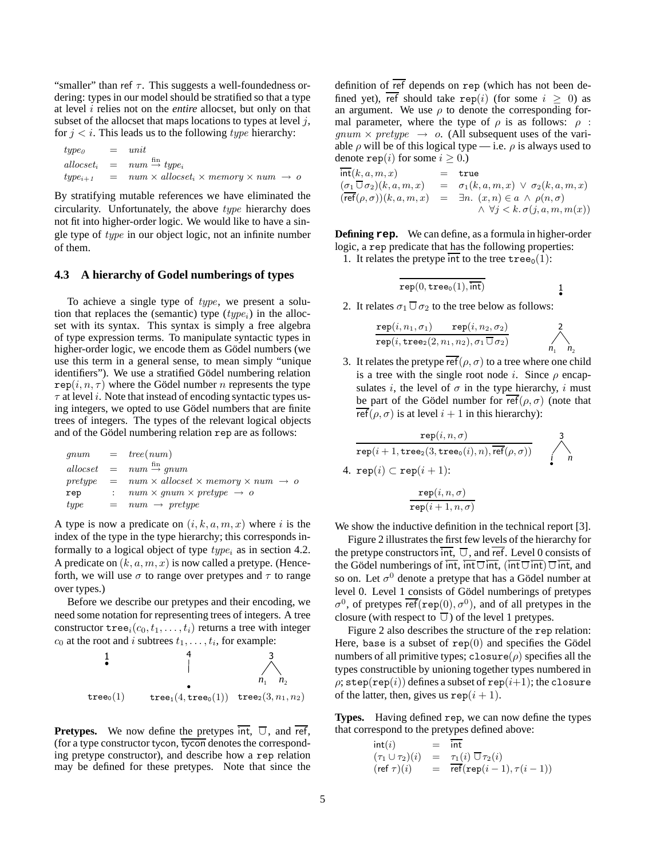"smaller" than ref  $\tau$ . This suggests a well-foundedness ordering: types in our model should be stratified so that a type at level i relies not on the *entire* allocset, but only on that subset of the allocset that maps locations to types at level  $j$ , for  $j < i$ . This leads us to the following *type* hierarchy:

| type <sub>0</sub> | $=$ unit                                                                            |
|-------------------|-------------------------------------------------------------------------------------|
|                   | $allocset_i$ = $num \stackrel{\text{fin}}{\rightarrow} type_i$                      |
| $type_{i+1}$ =    | $num \times \text{allocset}_i \times \text{memory} \times \text{num} \rightarrow o$ |

By stratifying mutable references we have eliminated the circularity. Unfortunately, the above type hierarchy does not fit into higher-order logic. We would like to have a single type of type in our object logic, not an infinite number of them.

# **4.3 A hierarchy of Godel numberings of types**

To achieve a single type of type, we present a solution that replaces the (semantic) type  $(type_i)$  in the allocset with its syntax. This syntax is simply a free algebra of type expression terms. To manipulate syntactic types in higher-order logic, we encode them as Gödel numbers (we use this term in a general sense, to mean simply "unique identifiers"). We use a stratified Gödel numbering relation  $\text{rep}(i, n, \tau)$  where the Gödel number n represents the type  $\tau$  at level *i*. Note that instead of encoding syntactic types using integers, we opted to use Gödel numbers that are finite trees of integers. The types of the relevant logical objects and of the Gödel numbering relation rep are as follows:

|      |         | $qnum = tree(num)$                                                    |
|------|---------|-----------------------------------------------------------------------|
|      |         | $allocset = num \stackrel{fin}{\rightarrow} qnum$                     |
|      |         | pretype $= num \times allowed \times memory \times num \rightarrow o$ |
| rep  |         | $num \times qnum \times pretype \rightarrow o$                        |
| type | $=$ $-$ | $num \rightarrow pretype$                                             |

A type is now a predicate on  $(i, k, a, m, x)$  where i is the index of the type in the type hierarchy; this corresponds informally to a logical object of type  $type_i$  as in section 4.2. A predicate on  $(k, a, m, x)$  is now called a pretype. (Henceforth, we will use  $\sigma$  to range over pretypes and  $\tau$  to range over types.)

Before we describe our pretypes and their encoding, we need some notation for representing trees of integers. A tree constructor  $\text{tree}_i(c_0, t_1, \ldots, t_i)$  returns a tree with integer  $c_0$  at the root and i subtrees  $t_1, \ldots, t_i$ , for example:



**Pretypes.** We now define the pretypes  $int$ ,  $\overline{U}$ , and  $\overline{ref}$ , (for a type constructor tycon, tycon denotes the corresponding pretype constructor), and describe how a rep relation may be defined for these pretypes. Note that since the definition of  $\overline{\text{ref}}$  depends on  $\text{rep}$  (which has not been defined yet),  $\overline{\text{ref}}$  should take rep(i) (for some  $i \geq 0$ ) as an argument. We use  $\rho$  to denote the corresponding formal parameter, where the type of  $\rho$  is as follows:  $\rho$ :  $qnum \times pretype \rightarrow o$ . (All subsequent uses of the variable  $\rho$  will be of this logical type — i.e.  $\rho$  is always used to denote rep(*i*) for some  $i \geq 0$ .

$$
\begin{array}{lcl} \overline{\mathsf{int}}(k,a,m,x) & = & \mathsf{true} \\ (\underline{\sigma_1} \, \overline{\cup} \, \sigma_2)(k,a,m,x) & = & \sigma_1(k,a,m,x) \, \vee \, \sigma_2(k,a,m,x) \\ (\overline{\mathsf{ref}}(\rho,\sigma))(k,a,m,x) & = & \exists n. \, (x,n) \in a \, \wedge \, \rho(n,\sigma) \\ \wedge \, \forall j < k. \, \sigma(j,a,m,m(x)) \end{array}
$$

**Defining rep.** We can define, as a formula in higher-order logic, a rep predicate that has the following properties:

1. It relates the pretype int to the tree  $\text{tree}_0(1)$ :

$$
\overline{\operatorname{rep}(0,\operatorname{tree}_0(1),\overline{\operatorname{int}})} \qquad \qquad \qquad \frac{1}{\bullet}
$$

2. It relates  $\sigma_1 \,\overline{\cup}\, \sigma_2$  to the tree below as follows:

$$
\frac{\mathtt{rep}(i,n_1,\sigma_1) \quad \mathtt{rep}(i,n_2,\sigma_2)}{\mathtt{rep}(i,\mathtt{tree}_2(2,n_1,n_2),\sigma_1\,\square\,\sigma_2)} \qquad \qquad \nearrow \qquad \qquad \nearrow \qquad \qquad \nearrow \qquad \qquad \nearrow \qquad \qquad \nearrow
$$

3. It relates the pretype  $\overline{\text{ref}}(\rho, \sigma)$  to a tree where one child is a tree with the single root node i. Since  $\rho$  encapsulates i, the level of  $\sigma$  in the type hierarchy, i must be part of the Gödel number for ref( $\rho$ ,  $\sigma$ ) (note that ref( $\rho$ ,  $\sigma$ ) is at level  $i + 1$  in this hierarchy):

$$
\frac{\operatorname{rep}(i, n, \sigma)}{\operatorname{rep}(i + 1, \operatorname{tree}_2(3, \operatorname{tree}_0(i), n), \overline{\operatorname{ref}}(\rho, \sigma))} \quad \bigwedge_{i=1}^3
$$
  
4. 
$$
\operatorname{rep}(i) \subset \operatorname{rep}(i + 1):
$$

$$
\frac{\mathtt{rep}(i,n,\sigma)}{\mathtt{rep}(i+1,n,\sigma)}
$$

We show the inductive definition in the technical report [3].

Figure 2 illustrates the first few levels of the hierarchy for the pretype constructors  $\overline{int}$ ,  $\overline{U}$ , and  $\overline{ref}$ . Level 0 consists of the Gödel numberings of  $\overline{int}$ ,  $\overline{int}$ ,  $\overline{int}$ ,  $(\overline{int} \cup \overline{int})$ ,  $\overline{int}$ , and so on. Let  $\sigma^0$  denote a pretype that has a Gödel number at level 0. Level 1 consists of Gödel numberings of pretypes  $\sigma^0$ , of pretypes  $\overline{\text{ref}}(\text{rep}(0), \sigma^0)$ , and of all pretypes in the closure (with respect to  $\overline{U}$ ) of the level 1 pretypes.

Figure 2 also describes the structure of the rep relation: Here, base is a subset of  $rep(0)$  and specifies the Gödel numbers of all primitive types; closure( $\rho$ ) specifies all the types constructible by unioning together types numbered in  $\rho$ ; step(rep(i)) defines a subset of rep(i+1); the closure of the latter, then, gives us  $\text{rep}(i + 1)$ .

**Types.** Having defined rep, we can now define the types that correspond to the pretypes defined above:

$$
\begin{array}{rcl}\n\text{int}(i) & = & \text{int} \\
(\tau_1 \cup \tau_2)(i) & = & \tau_1(i) \ \overline{\cup} \ \tau_2(i) \\
(\text{ref } \tau)(i) & = & \text{ref}(\text{rep}(i-1), \tau(i-1))\n\end{array}
$$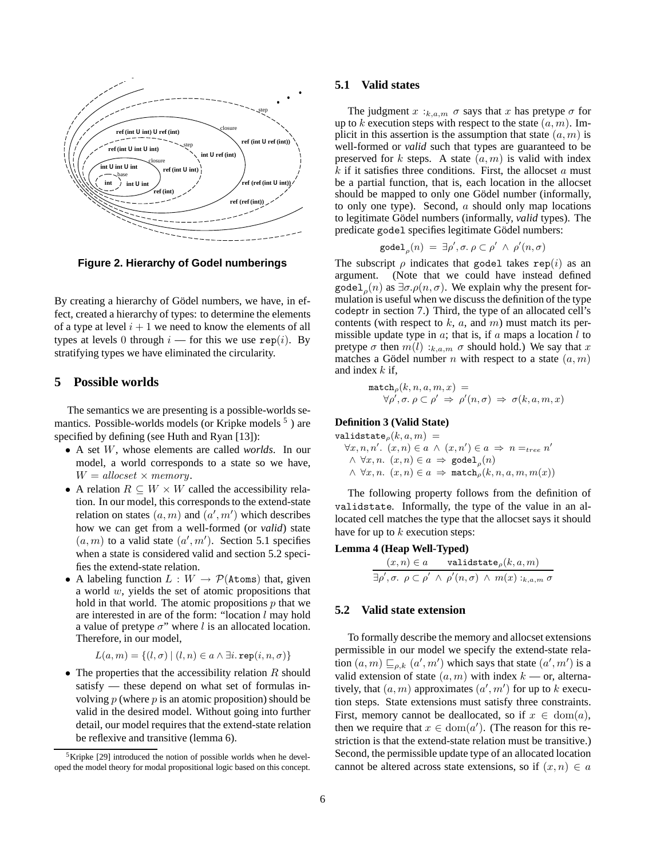

**Figure 2. Hierarchy of Godel numberings**

By creating a hierarchy of Gödel numbers, we have, in effect, created a hierarchy of types: to determine the elements of a type at level  $i + 1$  we need to know the elements of all types at levels 0 through  $i$  — for this we use rep(i). By stratifying types we have eliminated the circularity.

# **5 Possible worlds**

The semantics we are presenting is a possible-worlds semantics. Possible-worlds models (or Kripke models  $<sup>5</sup>$ ) are</sup> specified by defining (see Huth and Ryan [13]):

- A set W, whose elements are called *worlds*. In our model, a world corresponds to a state so we have,  $W = \text{allocset} \times \text{memory}.$
- A relation  $R \subseteq W \times W$  called the accessibility relation. In our model, this corresponds to the extend-state relation on states  $(a, m)$  and  $(a', m')$  which describes how we can get from a well-formed (or *valid*) state  $(a, m)$  to a valid state  $(a', m')$ . Section 5.1 specifies when a state is considered valid and section 5.2 specifies the extend-state relation.
- A labeling function  $L : W \to \mathcal{P}(\lambda \text{tons})$  that, given a world w, yields the set of atomic propositions that hold in that world. The atomic propositions  $p$  that we are interested in are of the form: "location  $l$  may hold a value of pretype  $\sigma$ " where l is an allocated location. Therefore, in our model,

$$
L(a, m) = \{(l, \sigma) \mid (l, n) \in a \land \exists i.\,\texttt{rep}(i, n, \sigma)\}
$$

• The properties that the accessibility relation  $R$  should satisfy — these depend on what set of formulas involving  $p$  (where  $p$  is an atomic proposition) should be valid in the desired model. Without going into further detail, our model requires that the extend-state relation be reflexive and transitive (lemma 6).

### **5.1 Valid states**

The judgment  $x:_{k,a,m} \sigma$  says that x has pretype  $\sigma$  for up to k execution steps with respect to the state  $(a, m)$ . Implicit in this assertion is the assumption that state  $(a, m)$  is well-formed or *valid* such that types are guaranteed to be preserved for k steps. A state  $(a, m)$  is valid with index  $k$  if it satisfies three conditions. First, the allocset  $a$  must be a partial function, that is, each location in the allocset should be mapped to only one Gödel number (informally, to only one type). Second,  $a$  should only map locations to legitimate Gödel numbers (informally, *valid* types). The predicate gode1 specifies legitimate Gödel numbers:

$$
\text{godel}_{\rho}(n) = \exists \rho', \sigma. \ \rho \subset \rho' \ \wedge \ \rho'(n, \sigma)
$$

The subscript  $\rho$  indicates that godel takes rep(i) as an argument. (Note that we could have instead defined godel<sub>ρ</sub>(n) as  $\exists \sigma.\rho(n, \sigma)$ . We explain why the present formulation is useful when we discuss the definition of the type codeptr in section 7.) Third, the type of an allocated cell's contents (with respect to  $k$ ,  $a$ , and  $m$ ) must match its permissible update type in  $a$ ; that is, if  $a$  maps a location  $l$  to pretype  $\sigma$  then  $m(l)$ : $_{k,a,m}$   $\sigma$  should hold.) We say that x matches a Gödel number n with respect to a state  $(a, m)$ and index  $k$  if,

$$
\begin{array}{c}\n\texttt{match}_{\rho}(k, n, a, m, x) = \\
\forall \rho', \sigma. \ \rho \subset \rho' \Rightarrow \ \rho'(n, \sigma) \Rightarrow \sigma(k, a, m, x)\n\end{array}
$$

# **Definition 3 (Valid State)**

validstate $\rho(k, a, m) =$  $\forall x, n, n'. (x, n) \in a \land (x, n') \in a \Rightarrow n =_{tree} n'$  $\wedge \forall x, n.$   $(x, n) \in a \Rightarrow \text{goodel}_o(n)$  $\wedge \forall x, n.$   $(x, n) \in a \Rightarrow$  match<sub>p</sub> $(k, n, a, m, m(x))$ 

The following property follows from the definition of validstate. Informally, the type of the value in an allocated cell matches the type that the allocset says it should have for up to  $k$  execution steps:

### **Lemma 4 (Heap Well-Typed)**

$$
(x, n) \in a \qquad \text{validstate}_{\rho}(k, a, m)
$$
  

$$
\exists \rho', \sigma. \ \rho \subset \rho' \ \land \ \rho'(n, \sigma) \ \land \ m(x) :_{k, a, m} \sigma
$$

### **5.2 Valid state extension**

To formally describe the memory and allocset extensions permissible in our model we specify the extend-state relation  $(a, m) \sqsubseteq_{\rho,k} (a', m')$  which says that state  $(a', m')$  is a valid extension of state  $(a, m)$  with index  $k \sim$  or, alternatively, that  $(a, m)$  approximates  $(a', m')$  for up to k execution steps. State extensions must satisfy three constraints. First, memory cannot be deallocated, so if  $x \in \text{dom}(a)$ , then we require that  $x \in \text{dom}(a')$ . (The reason for this restriction is that the extend-state relation must be transitive.) Second, the permissible update type of an allocated location cannot be altered across state extensions, so if  $(x, n) \in a$ 

<sup>5</sup>Kripke [29] introduced the notion of possible worlds when he developed the model theory for modal propositional logic based on this concept.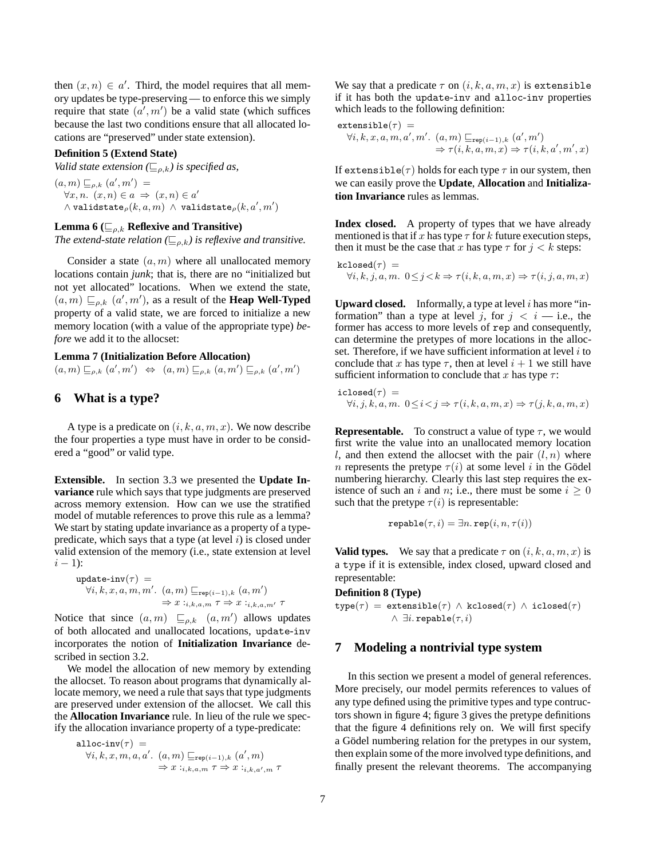then  $(x, n) \in a'$ . Third, the model requires that all memory updates be type-preserving — to enforce this we simply require that state  $(a', m')$  be a valid state (which suffices because the last two conditions ensure that all allocated locations are "preserved" under state extension).

### **Definition 5 (Extend State)**

*Valid state extension* ( $\sqsubseteq_{\rho,k}$ ) *is specified as,* 

 $(a,m) \sqsubseteq_{\rho,k} (a',m') =$  $\forall x, n.$   $(x, n) \in a \Rightarrow (x, n) \in a'$  $\land$  validstate $_{\rho}(k,a,m)$   $\land$  validstate $_{\rho}(k,a^{\prime},m^{\prime})$ 

### **Lemma 6** ( $\mathcal{L}_{\rho,k}$  **Reflexive and Transitive)**

*The extend-state relation* ( $\sqsubseteq_{\rho,k}$ ) *is reflexive and transitive.* 

Consider a state  $(a, m)$  where all unallocated memory locations contain *junk*; that is, there are no "initialized but not yet allocated" locations. When we extend the state,  $(a, m) \sqsubseteq_{\rho,k} (a', m')$ , as a result of the **Heap Well-Typed** property of a valid state, we are forced to initialize a new memory location (with a value of the appropriate type) *before* we add it to the allocset:

# **Lemma 7 (Initialization Before Allocation)**

 $(a,m) \sqsubseteq_{\rho,k} (a',m') \Leftrightarrow (a,m) \sqsubseteq_{\rho,k} (a,m') \sqsubseteq_{\rho,k} (a',m')$ 

# **6 What is a type?**

A type is a predicate on  $(i, k, a, m, x)$ . We now describe the four properties a type must have in order to be considered a "good" or valid type.

**Extensible.** In section 3.3 we presented the **Update Invariance** rule which says that type judgments are preserved across memory extension. How can we use the stratified model of mutable references to prove this rule as a lemma? We start by stating update invariance as a property of a typepredicate, which says that a type (at level  $i$ ) is closed under valid extension of the memory (i.e., state extension at level  $i - 1$ :

update-inv(τ) =  
\n
$$
\forall i, k, x, a, m, m'. (a, m) \sqsubseteq_{\text{rep}(i-1), k} (a, m')
$$
\n
$$
\Rightarrow x:_{i,k,a,m} \tau \Rightarrow x:_{i,k,a,m'} \tau
$$

Notice that since  $(a, m) \sqsubseteq_{\rho,k} (a, m')$  allows updates of both allocated and unallocated locations, update-inv incorporates the notion of **Initialization Invariance** described in section 3.2.

We model the allocation of new memory by extending the allocset. To reason about programs that dynamically allocate memory, we need a rule that says that type judgments are preserved under extension of the allocset. We call this the **Allocation Invariance** rule. In lieu of the rule we specify the allocation invariance property of a type-predicate:

$$
\begin{aligned}\n\text{alloc-inv}(\tau) &= \\
\forall i, k, x, m, a, a'. \ (a, m) \sqsubseteq_{\text{rep}(i-1), k} (a', m) \\
&\Rightarrow x:_{i, k, a, m} \tau \Rightarrow x:_{i, k, a', m} \tau\n\end{aligned}
$$

We say that a predicate  $\tau$  on  $(i, k, a, m, x)$  is extensible if it has both the update-inv and alloc-inv properties which leads to the following definition:

$$
\begin{aligned}\n\text{extensible}(\tau) &= \\
\forall i, k, x, a, m, a', m'. \ (a, m) \sqsubseteq_{\text{rep}(i-1), k} (a', m') \\
&\Rightarrow \tau(i, k, a, m, x) \Rightarrow \tau(i, k, a', m', x)\n\end{aligned}
$$

If extensible( $\tau$ ) holds for each type  $\tau$  in our system, then we can easily prove the **Update**, **Allocation** and **Initialization Invariance** rules as lemmas.

**Index closed.** A property of types that we have already mentioned is that if x has type  $\tau$  for k future execution steps, then it must be the case that x has type  $\tau$  for  $j < k$  steps:

$$
\begin{array}{l} \texttt{kclosed}(\tau) \, = \\ \forall i, k, j, a, m. \ 0 \leq j \! < \! k \Rightarrow \tau(i, k, a, m, x) \Rightarrow \tau(i, j, a, m, x) \end{array}
$$

**Upward closed.** Informally, a type at level  $i$  has more "information" than a type at level j, for  $j < i$  — i.e., the former has access to more levels of rep and consequently, can determine the pretypes of more locations in the allocset. Therefore, if we have sufficient information at level  $i$  to conclude that x has type  $\tau$ , then at level  $i + 1$  we still have sufficient information to conclude that x has type  $\tau$ :

$$
\begin{array}{l} \texttt{iclosed}(\tau) \, = \\ \forall i,j,k,a,m. \enspace 0 \! \leq \! i \! < \! j \Rightarrow \tau(i,k,a,m,x) \Rightarrow \tau(j,k,a,m,x) \end{array}
$$

**Representable.** To construct a value of type  $\tau$ , we would first write the value into an unallocated memory location l, and then extend the allocset with the pair  $(l, n)$  where *n* represents the pretype  $\tau(i)$  at some level *i* in the Gödel numbering hierarchy. Clearly this last step requires the existence of such an i and n; i.e., there must be some  $i \geq 0$ such that the pretype  $\tau(i)$  is representable:

$$
\mathtt{repathle}(\tau,i) = \exists n.\mathtt{rep}(i,n,\tau(i))
$$

**Valid types.** We say that a predicate  $\tau$  on  $(i, k, a, m, x)$  is a type if it is extensible, index closed, upward closed and representable:

**Definition 8 (Type)**

 $type(\tau) = extensible(\tau) \wedge kclosed(\tau) \wedge iclosed(\tau)$  $∧ ∃i$ . repable $(τ, i)$ 

# **7 Modeling a nontrivial type system**

In this section we present a model of general references. More precisely, our model permits references to values of any type defined using the primitive types and type contructors shown in figure 4; figure 3 gives the pretype definitions that the figure 4 definitions rely on. We will first specify a Gödel numbering relation for the pretypes in our system, then explain some of the more involved type definitions, and finally present the relevant theorems. The accompanying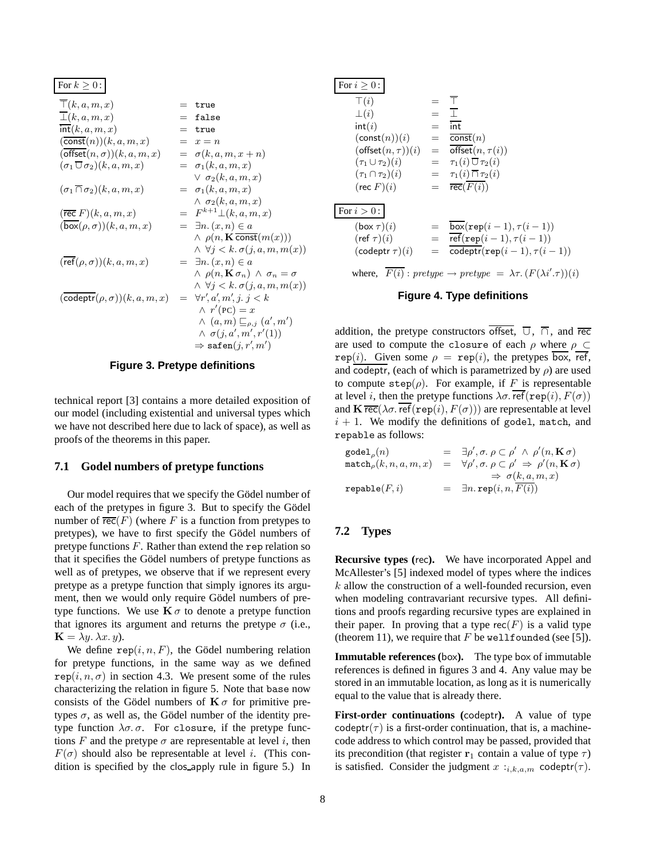For  $k > 0$ :

| $\wedge$ $\rho(n, \mathbf{K} \overline{\text{const}}(m(x)))$     |
|------------------------------------------------------------------|
| $\wedge \forall j < k. \sigma(j, a, m, m(x))$                    |
|                                                                  |
| $\wedge$ $\rho(n, \mathbf{K} \sigma_n) \wedge \sigma_n = \sigma$ |
| $\wedge \forall j < k. \sigma(j, a, m, m(x))$                    |
|                                                                  |
|                                                                  |
| $\wedge$ $(a,m) \sqsubseteq_{\rho,j} (a',m')$                    |
|                                                                  |
|                                                                  |
|                                                                  |

**Figure 3. Pretype definitions**

technical report [3] contains a more detailed exposition of our model (including existential and universal types which we have not described here due to lack of space), as well as proofs of the theorems in this paper.

### **7.1 Godel numbers of pretype functions**

Our model requires that we specify the Gödel number of each of the pretypes in figure 3. But to specify the Gödel number of  $\overline{\text{rec}}(F)$  (where F is a function from pretypes to pretypes), we have to first specify the Gödel numbers of pretype functions  $F$ . Rather than extend the rep relation so that it specifies the Gödel numbers of pretype functions as well as of pretypes, we observe that if we represent every pretype as a pretype function that simply ignores its argument, then we would only require Gödel numbers of pretype functions. We use  $\mathbf{K} \sigma$  to denote a pretype function that ignores its argument and returns the pretype  $\sigma$  (i.e.,  $\mathbf{K} = \lambda y \cdot \lambda x \cdot y$ .

We define  $\text{rep}(i, n, F)$ , the Gödel numbering relation for pretype functions, in the same way as we defined  $rep(i, n, \sigma)$  in section 4.3. We present some of the rules characterizing the relation in figure 5. Note that base now consists of the Gödel numbers of  $\mathbf{K}\sigma$  for primitive pretypes  $\sigma$ , as well as, the Gödel number of the identity pretype function  $\lambda \sigma$ .  $\sigma$ . For closure, if the pretype functions F and the pretype  $\sigma$  are representable at level i, then  $F(\sigma)$  should also be representable at level *i*. (This condition is specified by the clos apply rule in figure 5.) In

| For $i > 0$ :                                                                              |                 |                                              |  |  |  |
|--------------------------------------------------------------------------------------------|-----------------|----------------------------------------------|--|--|--|
| $\top(i)$                                                                                  |                 | ┯                                            |  |  |  |
| $\perp(i)$                                                                                 | $=$             | $\sim$ 1.                                    |  |  |  |
| int(i)                                                                                     | $=$             | $\overline{\text{int}}$                      |  |  |  |
| $(\text{const}(n))(i)$                                                                     | $=$             | $\overline{\text{const}}(n)$                 |  |  |  |
| $(\text{offset}(n, \tau))(i)$                                                              |                 | $=$ offset $(n, \tau(i))$                    |  |  |  |
| $(\tau_1 \cup \tau_2)(i)$                                                                  |                 | $= \tau_1(i) \overline{\cup} \tau_2(i)$      |  |  |  |
| $(\tau_1 \cap \tau_2)(i)$                                                                  |                 | $= \tau_1(i) \overline{\cap} \tau_2(i)$      |  |  |  |
| $(\text{rec } F)(i)$                                                                       |                 | $= \text{rec}(F(i))$                         |  |  |  |
| For $i>0$ :                                                                                |                 |                                              |  |  |  |
| $(b\text{ox }\tau)(i)$                                                                     | $=$             | $box(\texttt{rep}(i-1), \tau(i-1))$          |  |  |  |
| $(\text{ref } \tau)(i)$                                                                    | $=$             | $ref(rep(i-1), \tau(i-1))$                   |  |  |  |
| $(codeptr\tau)(i)$                                                                         | $\!\!\!=\!\!\!$ | $\text{codeptr}(\text{rep}(i-1), \tau(i-1))$ |  |  |  |
| where, $F(i)$ : pretype $\rightarrow$ pretype $= \lambda \tau$ . $(F(\lambda i'.\tau))(i)$ |                 |                                              |  |  |  |

### **Figure 4. Type definitions**

addition, the pretype constructors offset,  $\overline{U}$ ,  $\overline{\cap}$ , and rec are used to compute the closure of each  $\rho$  where  $\rho \subset$ rep(i). Given some  $\rho = \text{rep}(i)$ , the pretypes box, ref, and codeptr, (each of which is parametrized by  $\rho$ ) are used to compute  $\text{step}(\rho)$ . For example, if F is representable at level i, then the pretype functions  $\lambda \sigma$ .  $\overline{\text{ref}}(\text{rep}(i), F(\sigma))$ and  $\mathbf{K} \overline{\text{rec}}(\lambda \sigma \cdot \text{ref}(\text{rep}(i), F(\sigma)))$  are representable at level  $i + 1$ . We modify the definitions of godel, match, and repable as follows:

| $\texttt{goodel}_{\rho}(n)$        | $= \exists \rho', \sigma. \; \rho \subset \rho' \; \wedge \; \rho'(n, \mathbf{K} \sigma)$ |
|------------------------------------|-------------------------------------------------------------------------------------------|
| $\mathtt{match}_{\rho}(k,n,a,m,x)$ | $= \forall \rho', \sigma, \rho \subset \rho' \Rightarrow \rho'(n, \mathbf{K}\sigma)$      |
|                                    | $\Rightarrow \sigma(k, a, m, x)$                                                          |
| $\mathtt{retable}(F, i)$           | $= \exists n.\, \texttt{rep}(i, n, F(i))$                                                 |

### **7.2 Types**

**Recursive types (**rec**).** We have incorporated Appel and McAllester's [5] indexed model of types where the indices k allow the construction of a well-founded recursion, even when modeling contravariant recursive types. All definitions and proofs regarding recursive types are explained in their paper. In proving that a type  $rec(F)$  is a valid type (theorem 11), we require that  $F$  be wellfounded (see [5]).

**Immutable references (**box**).** The type box of immutable references is defined in figures 3 and 4. Any value may be stored in an immutable location, as long as it is numerically equal to the value that is already there.

**First-order continuations (**codeptr**).** A value of type codeptr( $\tau$ ) is a first-order continuation, that is, a machinecode address to which control may be passed, provided that its precondition (that register  $\mathbf{r}_1$  contain a value of type  $\tau$ ) is satisfied. Consider the judgment  $x :_{i,k,a,m}$  codeptr $(\tau)$ .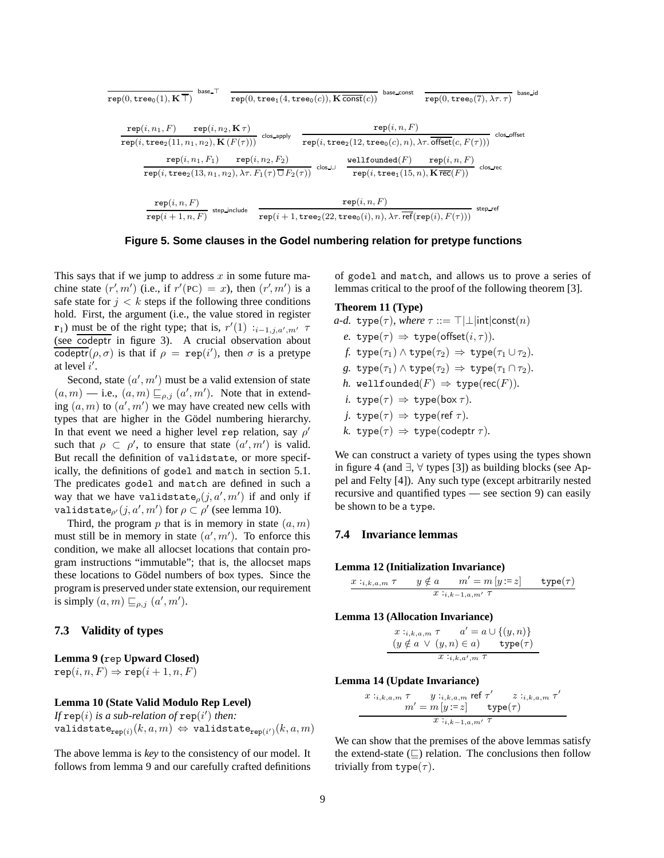$$
\begin{array}{cccccc} \texttt{rep}(0,\texttt{tree_0}(1),\textbf{K}\,\overline{\top}) & \texttt{base}\,\overline{\top} & \texttt{rep}(0,\texttt{tree_1}(4,\texttt{tree_0}(c)),\textbf{K}\,\overline{\mathtt{const}}(c)) & \texttt{base\_const} & \texttt{rep}(0,\texttt{tree_0}(7),\lambda\tau,\tau) & \texttt{base_id} \\[10pt] & \texttt{rep}(i,n_1,F) & \texttt{rep}(i,n_2,\textbf{K}\,\tau) & \texttt{rep}(i,n_2,\textbf{K}\,\tau) & \texttt{rep}(i,n,F) & \texttt{rep}(i,n,F) & \texttt{close\_offset} \\[10pt] & \texttt{rep}(i,\texttt{tree_2}(11,n_1,n_2),\textbf{K}\,(F(\tau))) & \texttt{step}(i,n_2,F_2) & \texttt{wellfounded}(F) & \texttt{rep}(i,n,F) & \texttt{close\_ref} \\[10pt] & \texttt{rep}(i,\texttt{tree_2}(13,n_1,n_2),\lambda\tau,F_1(\tau)\,\overline{\cup}\,F_2(\tau)) & \texttt{close\_} & \texttt{rep}(i,\texttt{tree_1}(15,n),\textbf{K}\,\overline{\mathtt{rec}(F)}) & \texttt{close\_} \\[10pt] & \texttt{rep}(i,n,F) & \texttt{step}(i+1,n,F) & \texttt{step}(i+1,\texttt{tree_2}(22,\texttt{tree_0}(i),n),\lambda\tau,\overline{\mathtt{ref}}(\mathtt{rep}(i),F(\tau))) & \texttt{step\_ref} \end{array}
$$

**Figure 5. Some clauses in the Godel numbering relation for pretype functions**

This says that if we jump to address  $x$  in some future machine state  $(r', m')$  (i.e., if  $r'(PC) = x$ ), then  $(r', m')$  is a safe state for  $j < k$  steps if the following three conditions hold. First, the argument (i.e., the value stored in register **r**<sub>1</sub>) must be of the right type; that is,  $r'(1)$  :<sub>i-1,j,a',m'  $\tau$ </sub> (see codeptr in figure 3). A crucial observation about codeptr( $\rho, \sigma$ ) is that if  $\rho = \text{rep}(i')$ , then  $\sigma$  is a pretype at level  $i'$ .

Second, state  $(a', m')$  must be a valid extension of state  $(a, m)$  — i.e.,  $(a, m) \sqsubseteq_{\rho, j} (a', m')$ . Note that in extending  $(a, m)$  to  $(a', m')$  we may have created new cells with types that are higher in the Gödel numbering hierarchy. In that event we need a higher level rep relation, say  $\rho'$ such that  $\rho \subset \rho'$ , to ensure that state  $(a', m')$  is valid. But recall the definition of validstate, or more specifically, the definitions of godel and match in section 5.1. The predicates godel and match are defined in such a way that we have validstate $\rho(j, a', m')$  if and only if validstate $_{\rho'}(j, a', m')$  for  $\rho \subset \rho'$  (see lemma 10).

Third, the program  $p$  that is in memory in state  $(a, m)$ must still be in memory in state  $(a', m')$ . To enforce this condition, we make all allocset locations that contain program instructions "immutable"; that is, the allocset maps these locations to Gödel numbers of box types. Since the program is preserved under state extension, our requirement is simply  $(a, m) \sqsubseteq_{\rho,j} (a', m')$ .

# **7.3 Validity of types**

**Lemma 9 (**rep **Upward Closed)**  $\mathtt{rep}(i, n, F) \Rightarrow \mathtt{rep}(i + 1, n, F)$ 

### **Lemma 10 (State Valid Modulo Rep Level)**

If  $\mathtt{rep}(i)$  is a sub-relation of  $\mathtt{rep}(i')$  then: validstate $\varphi_{\mathsf{rep}(i)}(k, a, m) \Leftrightarrow \varphi$ validstate $\varphi_{\mathsf{rep}(i')}(k, a, m)$ 

The above lemma is *key* to the consistency of our model. It follows from lemma 9 and our carefully crafted definitions

of godel and match, and allows us to prove a series of lemmas critical to the proof of the following theorem [3].

#### **Theorem 11 (Type)**

*a-d.* type
$$
(\tau)
$$
, where  $\tau ::= \top | \bot | \text{int} | \text{const}(n)$   
*e.* type $(\tau) \Rightarrow \text{type}(\text{offset}(i, \tau))$ .  
*f.* type $(\tau_1) \land \text{type}(\tau_2) \Rightarrow \text{type}(\tau_1 \cup \tau_2)$ .

- *g.*  $type(\tau_1) \wedge type(\tau_2) \Rightarrow type(\tau_1 \cap \tau_2)$ .
- *h.* wellfounded( $F$ )  $\Rightarrow$  type( $rec(F)$ ).
- *i.*  $type(\tau) \Rightarrow type(box \tau)$ *.*
- *j.*  $type(\tau) \Rightarrow type(ref \tau)$ .
- *k.*  $type(\tau) \Rightarrow type(coder \tau)$ *.*

We can construct a variety of types using the types shown in figure 4 (and ∃, ∀ types [3]) as building blocks (see Appel and Felty [4]). Any such type (except arbitrarily nested recursive and quantified types — see section 9) can easily be shown to be a type.

# **7.4 Invariance lemmas**

**Lemma 12 (Initialization Invariance)**

$$
\frac{x:_{i,k,a,m} \tau \qquad y \notin a \qquad m' = m[y:=z] \qquad \text{type}(\tau)}{x:_{i,k-1,a,m'} \tau}
$$

### **Lemma 13 (Allocation Invariance)**

$$
x :_{i,k,a,m} \tau \qquad a' = a \cup \{(y,n)\}
$$

$$
(y \notin a \lor (y,n) \in a) \qquad \text{type}(\tau)
$$

$$
x :_{i,k,a',m} \tau
$$

### **Lemma 14 (Update Invariance)**

$$
x:_{i,k,a,m} \tau \t y:_{i,k,a,m} \text{ref } \tau' \t z:_{i,k,a,m} \tau'
$$

$$
m' = m[y := z] \t type(\tau)
$$

$$
x:_{i,k-1,a,m'} \tau
$$

We can show that the premises of the above lemmas satisfy the extend-state  $(\square)$  relation. The conclusions then follow trivially from  $type(\tau)$ .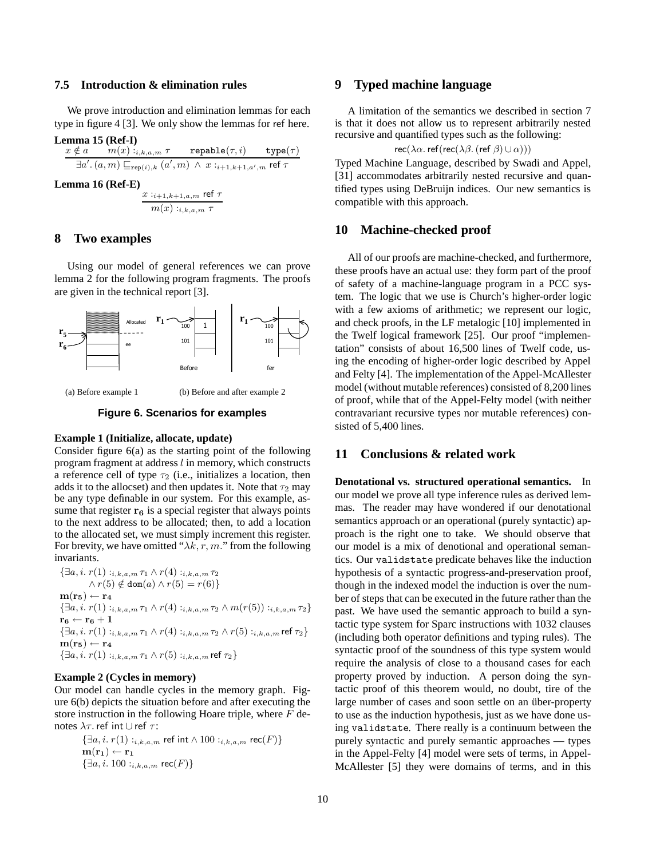### **7.5 Introduction & elimination rules**

We prove introduction and elimination lemmas for each type in figure 4 [3]. We only show the lemmas for ref here.

**Lemma 15 (Ref-I)**  
\n
$$
x \notin a \quad m(x) :_{i,k,a,m} \tau \quad \text{retable}(\tau, i) \quad \text{type}(\tau)
$$
\n
$$
\exists a'. (a, m) \sqsubseteq_{\text{rep}(i),k} (a', m) \land x :_{i+1,k+1,a',m} \text{ref } \tau
$$
\n**Lemma 16 (Ref-E)**

$$
\frac{x:_{i+1,k+1,a,m} \text{ref }\tau}{m(x):_{i,k,a,m}\tau}
$$

# **8 Two examples**

Using our model of general references we can prove lemma 2 for the following program fragments. The proofs are given in the technical report [3].



(a) Before example 1

(b) Before and after example 2

#### **Figure 6. Scenarios for examples**

#### **Example 1 (Initialize, allocate, update)**

Consider figure 6(a) as the starting point of the following program fragment at address l in memory, which constructs a reference cell of type  $\tau_2$  (i.e., initializes a location, then adds it to the allocset) and then updates it. Note that  $\tau_2$  may be any type definable in our system. For this example, assume that register  $\mathbf{r}_6$  is a special register that always points to the next address to be allocated; then, to add a location to the allocated set, we must simply increment this register. For brevity, we have omitted " $\lambda k$ , r, m." from the following invariants.

 $\{\exists a, i. r(1) : i,k,a,m \tau_1 \wedge r(4) : i,k,a,m \tau_2\}$  $\land r(5) \notin \text{dom}(a) \land r(5) = r(6)$  $m(r_5) \leftarrow r_4$  $\{\exists a, i. r(1) : i, k, a, m \tau_1 \wedge r(4) : i, k, a, m \tau_2 \wedge m(r(5)) : i, k, a, m \tau_2\}$  $\mathbf{r_6} \leftarrow \mathbf{r_6} + 1$  $\{\exists a,i.\ r(1):_{i,k,a,m}\tau_1\wedge r(4):_{i,k,a,m}\tau_2\wedge r(5):_{i,k,a,m}$ ref $\tau_2\}$  $\mathbf{m}(\mathbf{r}_5) \leftarrow \mathbf{r}_4$  $\{\exists a, i. r(1) :_{i,k,a,m} \tau_1 \wedge r(5) :_{i,k,a,m} \text{ref } \tau_2\}$ 

### **Example 2 (Cycles in memory)**

Our model can handle cycles in the memory graph. Figure 6(b) depicts the situation before and after executing the store instruction in the following Hoare triple, where  $F$  denotes  $\lambda \tau$ . ref int ∪ ref  $\tau$ :

> $\{\exists a, i. r(1) : i,k,a,m \text{ ref int} \wedge 100 : i,k,a,m \text{ rec}(F)\}\$  $\mathbf{m}(\mathbf{r}_1) \leftarrow \mathbf{r}_1$  $\{\exists a, i. 100 :_{i,k,a,m} \text{rec}(F)\}\$

# **9 Typed machine language**

A limitation of the semantics we described in section 7 is that it does not allow us to represent arbitrarily nested recursive and quantified types such as the following:

 $rec(\lambda \alpha. \text{ref}(rec(\lambda \beta. (ref \beta) \cup \alpha)))$ 

Typed Machine Language, described by Swadi and Appel, [31] accommodates arbitrarily nested recursive and quantified types using DeBruijn indices. Our new semantics is compatible with this approach.

### **10 Machine-checked proof**

All of our proofs are machine-checked, and furthermore, these proofs have an actual use: they form part of the proof of safety of a machine-language program in a PCC system. The logic that we use is Church's higher-order logic with a few axioms of arithmetic; we represent our logic, and check proofs, in the LF metalogic [10] implemented in the Twelf logical framework [25]. Our proof "implementation" consists of about 16,500 lines of Twelf code, using the encoding of higher-order logic described by Appel and Felty [4]. The implementation of the Appel-McAllester model (without mutable references) consisted of 8,200 lines of proof, while that of the Appel-Felty model (with neither contravariant recursive types nor mutable references) consisted of 5,400 lines.

### **11 Conclusions & related work**

**Denotational vs. structured operational semantics.** In our model we prove all type inference rules as derived lemmas. The reader may have wondered if our denotational semantics approach or an operational (purely syntactic) approach is the right one to take. We should observe that our model is a mix of denotional and operational semantics. Our validstate predicate behaves like the induction hypothesis of a syntactic progress-and-preservation proof, though in the indexed model the induction is over the number of steps that can be executed in the future rather than the past. We have used the semantic approach to build a syntactic type system for Sparc instructions with 1032 clauses (including both operator definitions and typing rules). The syntactic proof of the soundness of this type system would require the analysis of close to a thousand cases for each property proved by induction. A person doing the syntactic proof of this theorem would, no doubt, tire of the large number of cases and soon settle on an über-property to use as the induction hypothesis, just as we have done using validstate. There really is a continuum between the purely syntactic and purely semantic approaches — types in the Appel-Felty [4] model were sets of terms, in Appel-McAllester [5] they were domains of terms, and in this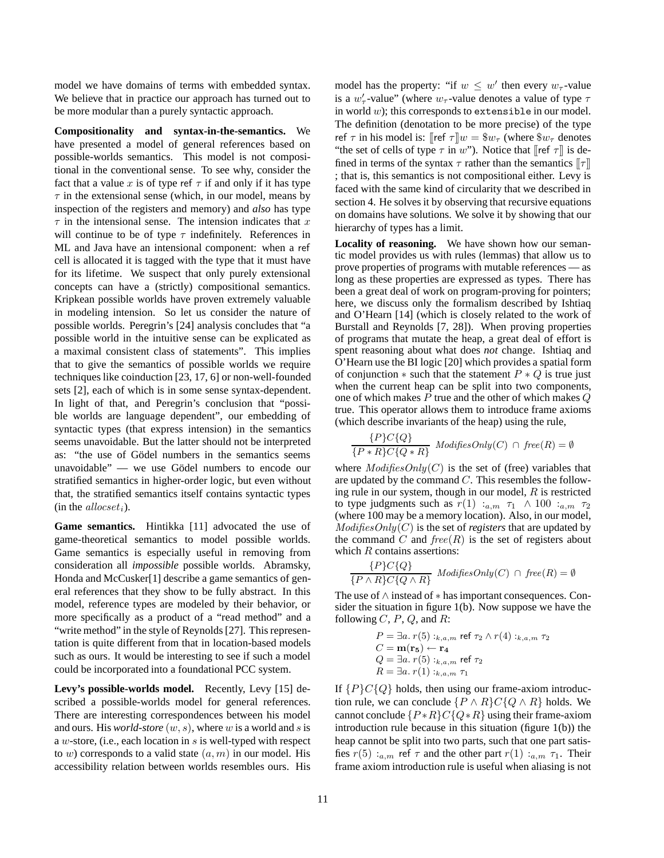model we have domains of terms with embedded syntax. We believe that in practice our approach has turned out to be more modular than a purely syntactic approach.

**Compositionality and syntax-in-the-semantics.** We have presented a model of general references based on possible-worlds semantics. This model is not compositional in the conventional sense. To see why, consider the fact that a value x is of type ref  $\tau$  if and only if it has type  $\tau$  in the extensional sense (which, in our model, means by inspection of the registers and memory) and *also* has type  $\tau$  in the intensional sense. The intension indicates that x will continue to be of type  $\tau$  indefinitely. References in ML and Java have an intensional component: when a ref cell is allocated it is tagged with the type that it must have for its lifetime. We suspect that only purely extensional concepts can have a (strictly) compositional semantics. Kripkean possible worlds have proven extremely valuable in modeling intension. So let us consider the nature of possible worlds. Peregrin's [24] analysis concludes that "a possible world in the intuitive sense can be explicated as a maximal consistent class of statements". This implies that to give the semantics of possible worlds we require techniques like coinduction [23, 17, 6] or non-well-founded sets [2], each of which is in some sense syntax-dependent. In light of that, and Peregrin's conclusion that "possible worlds are language dependent", our embedding of syntactic types (that express intension) in the semantics seems unavoidable. But the latter should not be interpreted as: "the use of Gödel numbers in the semantics seems unavoidable" — we use Gödel numbers to encode our stratified semantics in higher-order logic, but even without that, the stratified semantics itself contains syntactic types (in the *allocset<sub>i</sub>*).

**Game semantics.** Hintikka [11] advocated the use of game-theoretical semantics to model possible worlds. Game semantics is especially useful in removing from consideration all *impossible* possible worlds. Abramsky, Honda and McCusker[1] describe a game semantics of general references that they show to be fully abstract. In this model, reference types are modeled by their behavior, or more specifically as a product of a "read method" and a "write method" in the style of Reynolds [27]. This representation is quite different from that in location-based models such as ours. It would be interesting to see if such a model could be incorporated into a foundational PCC system.

Levy's possible-worlds model. Recently, Levy [15] described a possible-worlds model for general references. There are interesting correspondences between his model and ours. His *world-store* (w, s), where w is a world and s is a w-store, (i.e., each location in s is well-typed with respect to w) corresponds to a valid state  $(a, m)$  in our model. His accessibility relation between worlds resembles ours. His model has the property: "if  $w \leq w'$  then every  $w_{\tau}$ -value is a  $w'_\tau$ -value" (where  $w_\tau$ -value denotes a value of type  $\tau$ in world  $w$ ); this corresponds to extensible in our model. The definition (denotation to be more precise) of the type ref  $\tau$  in his model is: [[ref  $\tau$ ]] $w = \$w_{\tau}$  (where  $\$w_{\tau}$  denotes "the set of cells of type  $\tau$  in w"). Notice that  $\lbrack \lbrack \rbrack$  ref  $\tau \rbrack$  is defined in terms of the syntax  $\tau$  rather than the semantics  $\llbracket \tau \rrbracket$ ; that is, this semantics is not compositional either. Levy is faced with the same kind of circularity that we described in section 4. He solves it by observing that recursive equations on domains have solutions. We solve it by showing that our hierarchy of types has a limit.

**Locality of reasoning.** We have shown how our semantic model provides us with rules (lemmas) that allow us to prove properties of programs with mutable references — as long as these properties are expressed as types. There has been a great deal of work on program-proving for pointers; here, we discuss only the formalism described by Ishtiaq and O'Hearn [14] (which is closely related to the work of Burstall and Reynolds [7, 28]). When proving properties of programs that mutate the heap, a great deal of effort is spent reasoning about what does *not* change. Ishtiaq and O'Hearn use the BI logic [20] which provides a spatial form of conjunction  $*$  such that the statement  $P * Q$  is true just when the current heap can be split into two components, one of which makes  $P$  true and the other of which makes  $Q$ true. This operator allows them to introduce frame axioms (which describe invariants of the heap) using the rule,

$$
\frac{\{P\}C\{Q\}}{\{P * R\}C\{Q * R\}}\ \text{ModifiesOnly}(C) \cap \text{free}(R) = \emptyset
$$

where  $ModifiesOnly(C)$  is the set of (free) variables that are updated by the command C. This resembles the following rule in our system, though in our model,  $R$  is restricted to type judgments such as  $r(1)$  : $_{a,m}$   $\tau_1 \wedge 100$  : $_{a,m}$   $\tau_2$ (where 100 may be a memory location). Also, in our model, ModifiesOnly(C) is the set of *registers* that are updated by the command C and  $free(R)$  is the set of registers about which  $R$  contains assertions:

$$
\frac{\{P\}C\{Q\}}{\{P \land R\}C\{Q \land R\}}\text{ \textit{Modifies} Only}(C) \cap \textit{free}(R) = \emptyset
$$

The use of ∧ instead of ∗ has important consequences. Consider the situation in figure 1(b). Now suppose we have the following  $C$ ,  $P$ ,  $Q$ , and  $R$ :

$$
P = \exists a. r(5) :_{k,a,m} \text{ ref } \tau_2 \wedge r(4) :_{k,a,m} \tau_2
$$
  
\n
$$
C = \mathbf{m}(\mathbf{r}_5) \leftarrow \mathbf{r}_4
$$
  
\n
$$
Q = \exists a. r(5) :_{k,a,m} \text{ ref } \tau_2
$$
  
\n
$$
R = \exists a. r(1) :_{k,a,m} \tau_1
$$

If  ${P}C{Q}$  holds, then using our frame-axiom introduction rule, we can conclude  $\{P \wedge R\}C\{Q \wedge R\}$  holds. We cannot conclude  $\{P * R\} C \{Q * R\}$  using their frame-axiom introduction rule because in this situation (figure 1(b)) the heap cannot be split into two parts, such that one part satisfies  $r(5)$ :<sub>a,m</sub> ref  $\tau$  and the other part  $r(1)$ :<sub>a,m</sub>  $\tau_1$ . Their frame axiom introduction rule is useful when aliasing is not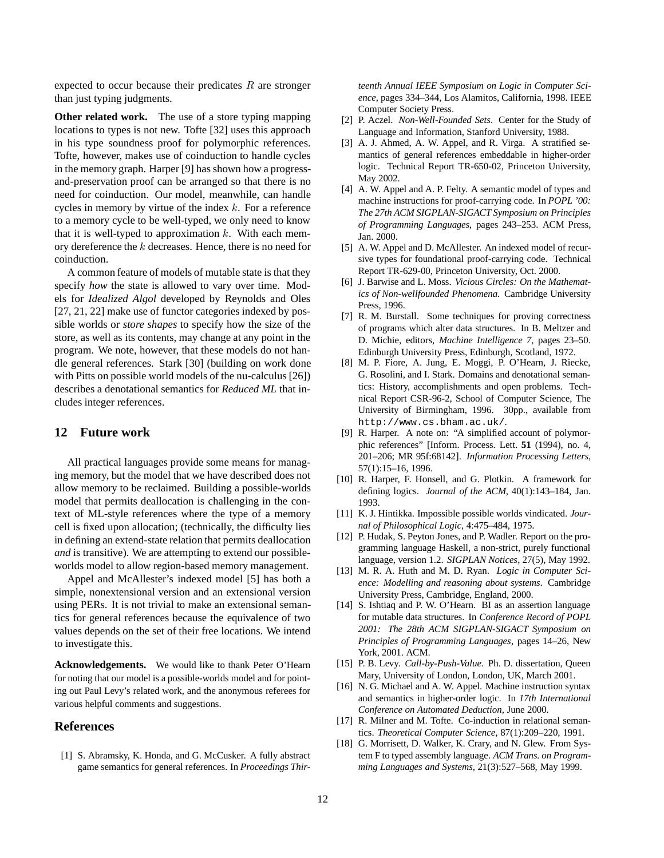expected to occur because their predicates  $R$  are stronger than just typing judgments.

**Other related work.** The use of a store typing mapping locations to types is not new. Tofte [32] uses this approach in his type soundness proof for polymorphic references. Tofte, however, makes use of coinduction to handle cycles in the memory graph. Harper [9] has shown how a progressand-preservation proof can be arranged so that there is no need for coinduction. Our model, meanwhile, can handle cycles in memory by virtue of the index  $k$ . For a reference to a memory cycle to be well-typed, we only need to know that it is well-typed to approximation  $k$ . With each memory dereference the k decreases. Hence, there is no need for coinduction.

A common feature of models of mutable state is that they specify *how* the state is allowed to vary over time. Models for *Idealized Algol* developed by Reynolds and Oles [27, 21, 22] make use of functor categories indexed by possible worlds or *store shapes* to specify how the size of the store, as well as its contents, may change at any point in the program. We note, however, that these models do not handle general references. Stark [30] (building on work done with Pitts on possible world models of the nu-calculus [26]) describes a denotational semantics for *Reduced ML* that includes integer references.

# **12 Future work**

All practical languages provide some means for managing memory, but the model that we have described does not allow memory to be reclaimed. Building a possible-worlds model that permits deallocation is challenging in the context of ML-style references where the type of a memory cell is fixed upon allocation; (technically, the difficulty lies in defining an extend-state relation that permits deallocation *and* is transitive). We are attempting to extend our possibleworlds model to allow region-based memory management.

Appel and McAllester's indexed model [5] has both a simple, nonextensional version and an extensional version using PERs. It is not trivial to make an extensional semantics for general references because the equivalence of two values depends on the set of their free locations. We intend to investigate this.

**Acknowledgements.** We would like to thank Peter O'Hearn for noting that our model is a possible-worlds model and for pointing out Paul Levy's related work, and the anonymous referees for various helpful comments and suggestions.

# **References**

[1] S. Abramsky, K. Honda, and G. McCusker. A fully abstract game semantics for general references. In *Proceedings Thir-* *teenth Annual IEEE Symposium on Logic in Computer Science*, pages 334–344, Los Alamitos, California, 1998. IEEE Computer Society Press.

- [2] P. Aczel. *Non-Well-Founded Sets*. Center for the Study of Language and Information, Stanford University, 1988.
- [3] A. J. Ahmed, A. W. Appel, and R. Virga. A stratified semantics of general references embeddable in higher-order logic. Technical Report TR-650-02, Princeton University, May 2002.
- [4] A. W. Appel and A. P. Felty. A semantic model of types and machine instructions for proof-carrying code. In *POPL '00: The 27th ACM SIGPLAN-SIGACT Symposium on Principles of Programming Languages*, pages 243–253. ACM Press, Jan. 2000.
- [5] A. W. Appel and D. McAllester. An indexed model of recursive types for foundational proof-carrying code. Technical Report TR-629-00, Princeton University, Oct. 2000.
- [6] J. Barwise and L. Moss. *Vicious Circles: On the Mathematics of Non-wellfounded Phenomena*. Cambridge University Press, 1996.
- [7] R. M. Burstall. Some techniques for proving correctness of programs which alter data structures. In B. Meltzer and D. Michie, editors, *Machine Intelligence 7*, pages 23–50. Edinburgh University Press, Edinburgh, Scotland, 1972.
- [8] M. P. Fiore, A. Jung, E. Moggi, P. O'Hearn, J. Riecke, G. Rosolini, and I. Stark. Domains and denotational semantics: History, accomplishments and open problems. Technical Report CSR-96-2, School of Computer Science, The University of Birmingham, 1996. 30pp., available from http://www.cs.bham.ac.uk/.
- [9] R. Harper. A note on: "A simplified account of polymorphic references" [Inform. Process. Lett. **51** (1994), no. 4, 201–206; MR 95f:68142]. *Information Processing Letters*, 57(1):15–16, 1996.
- [10] R. Harper, F. Honsell, and G. Plotkin. A framework for defining logics. *Journal of the ACM*, 40(1):143–184, Jan. 1993.
- [11] K. J. Hintikka. Impossible possible worlds vindicated. *Journal of Philosophical Logic*, 4:475–484, 1975.
- [12] P. Hudak, S. Peyton Jones, and P. Wadler. Report on the programming language Haskell, a non-strict, purely functional language, version 1.2. *SIGPLAN Notices*, 27(5), May 1992.
- [13] M. R. A. Huth and M. D. Ryan. *Logic in Computer Science: Modelling and reasoning about systems*. Cambridge University Press, Cambridge, England, 2000.
- [14] S. Ishtiaq and P. W. O'Hearn. BI as an assertion language for mutable data structures. In *Conference Record of POPL 2001: The 28th ACM SIGPLAN-SIGACT Symposium on Principles of Programming Languages*, pages 14–26, New York, 2001. ACM.
- [15] P. B. Levy. *Call-by-Push-Value*. Ph. D. dissertation, Queen Mary, University of London, London, UK, March 2001.
- [16] N. G. Michael and A. W. Appel. Machine instruction syntax and semantics in higher-order logic. In *17th International Conference on Automated Deduction*, June 2000.
- [17] R. Milner and M. Tofte. Co-induction in relational semantics. *Theoretical Computer Science*, 87(1):209–220, 1991.
- [18] G. Morrisett, D. Walker, K. Crary, and N. Glew. From System F to typed assembly language. *ACM Trans. on Programming Languages and Systems*, 21(3):527–568, May 1999.